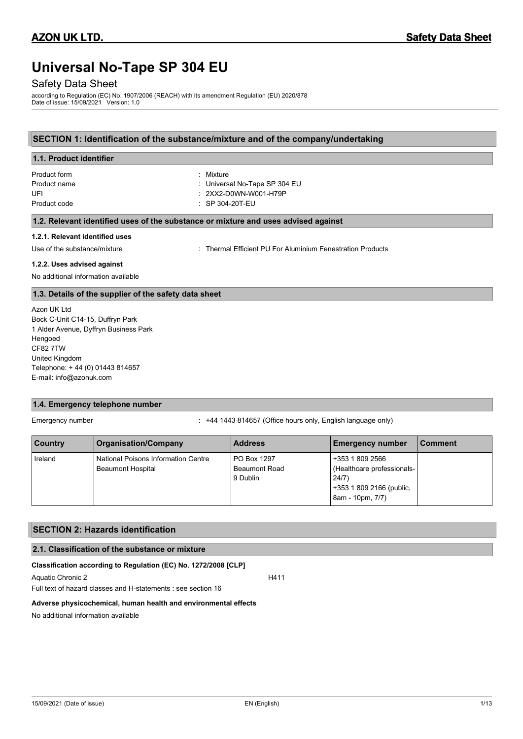# **Universal No-Tape SP 304 EU**

# Safety Data Sheet

according to Regulation (EC) No. 1907/2006 (REACH) with its amendment Regulation (EU) 2020/878 Date of issue: 15/09/2021 Version: 1.0

# **SECTION 1: Identification of the substance/mixture and of the company/undertaking**

| 1.1. Product identifier         |                                                                                    |
|---------------------------------|------------------------------------------------------------------------------------|
| Product form                    | : Mixture                                                                          |
| Product name                    | : Universal No-Tape SP 304 EU                                                      |
| UFI                             | $: 2$ XX2-D0WN-W001-H79P                                                           |
| Product code                    | $\therefore$ SP 304-20T-EU                                                         |
|                                 | 1.2. Relevant identified uses of the substance or mixture and uses advised against |
| 1.2.1. Relevant identified uses |                                                                                    |
| Use of the substance/mixture    | Thermal Efficient PU For Aluminium Fenestration Products                           |

### **1.2.2. Uses advised against**

No additional information available

### **1.3. Details of the supplier of the safety data sheet**

Azon UK Ltd Bock C-Unit C14-15, Duffryn Park 1 Alder Avenue, Dyffryn Business Park Hengoed CF82 7TW United Kingdom Telephone: + 44 (0) 01443 814657 E-mail: info@azonuk.com

# **1.4. Emergency telephone number**

Emergency number : +44 1443 814657 (Office hours only, English language only)

| <b>Country</b> | <b>Organisation/Company</b>                                     | <b>Address</b>                                  | <b>Emergency number</b>                                                                                 | l Comment |
|----------------|-----------------------------------------------------------------|-------------------------------------------------|---------------------------------------------------------------------------------------------------------|-----------|
| Ireland        | National Poisons Information Centre<br><b>Beaumont Hospital</b> | PO Box 1297<br><b>Beaumont Road</b><br>9 Dublin | +353 1 809 2566<br>(Healthcare professionals-)<br>24/7)<br>+353 1 809 2166 (public,<br>8am - 10pm, 7/7) |           |

### **SECTION 2: Hazards identification**

### **2.1. Classification of the substance or mixture**

### **Classification according to Regulation (EC) No. 1272/2008 [CLP]**

Aquatic Chronic 2 H411

Full text of hazard classes and H-statements : see section 16

#### **Adverse physicochemical, human health and environmental effects**

No additional information available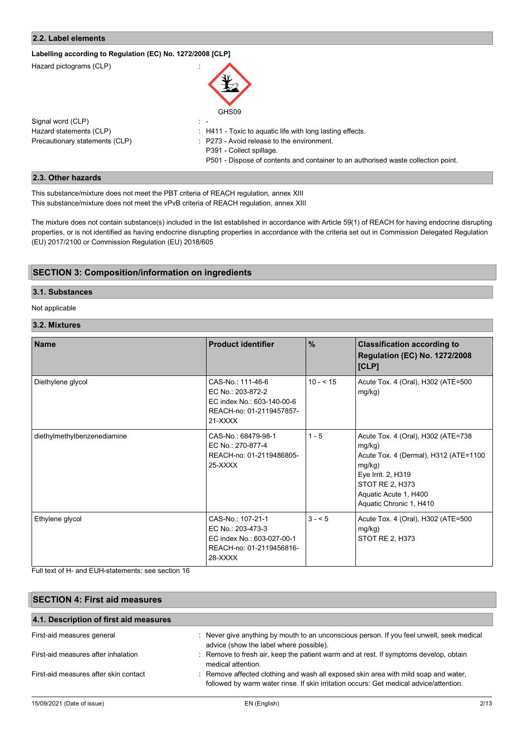# **2.2. Label elements**

# **Labelling according to Regulation (EC) No. 1272/2008 [CLP]**

| Hazard pictograms (CLP)        | GHS09                                                                             |
|--------------------------------|-----------------------------------------------------------------------------------|
| Signal word (CLP)              | $\mathbb{R}$                                                                      |
| Hazard statements (CLP)        | $\pm$ H411 - Toxic to aquatic life with long lasting effects.                     |
| Precautionary statements (CLP) | : P273 - Avoid release to the environment.                                        |
|                                | P391 - Collect spillage.                                                          |
|                                | P501 - Dispose of contents and container to an authorised waste collection point. |

## **2.3. Other hazards**

This substance/mixture does not meet the PBT criteria of REACH regulation, annex XIII This substance/mixture does not meet the vPvB criteria of REACH regulation, annex XIII

The mixture does not contain substance(s) included in the list established in accordance with Article 59(1) of REACH for having endocrine disrupting properties, or is not identified as having endocrine disrupting properties in accordance with the criteria set out in Commission Delegated Regulation (EU) 2017/2100 or Commission Regulation (EU) 2018/605

# **SECTION 3: Composition/information on ingredients**

### **3.1. Substances**

### Not applicable

# **3.2. Mixtures**

| <b>Name</b>                 | <b>Product identifier</b>                                                                                   | $\%$       | <b>Classification according to</b><br><b>Regulation (EC) No. 1272/2008</b><br>[CLP]                                                                                                          |
|-----------------------------|-------------------------------------------------------------------------------------------------------------|------------|----------------------------------------------------------------------------------------------------------------------------------------------------------------------------------------------|
| Diethylene glycol           | CAS-No.: 111-46-6<br>EC No.: 203-872-2<br>EC index No.: 603-140-00-6<br>REACH-no: 01-2119457857-<br>21-XXXX | $10 - 515$ | Acute Tox. 4 (Oral), H302 (ATE=500<br>mg/kg)                                                                                                                                                 |
| diethylmethylbenzenediamine | CAS-No.: 68479-98-1<br>EC No.: 270-877-4<br>REACH-no: 01-2119486805-<br>$25-XXXX$                           | $1 - 5$    | Acute Tox. 4 (Oral), H302 (ATE=738<br>mg/kg)<br>Acute Tox. 4 (Dermal), H312 (ATE=1100<br>mg/kg)<br>Eye Irrit. 2, H319<br>STOT RE 2, H373<br>Aquatic Acute 1, H400<br>Aquatic Chronic 1, H410 |
| Ethylene glycol             | CAS-No.: 107-21-1<br>EC No.: 203-473-3<br>EC index No.: 603-027-00-1<br>REACH-no: 01-2119456816-<br>28-XXXX | $3 - 5$    | Acute Tox. 4 (Oral), H302 (ATE=500<br>mg/kg)<br>STOT RE 2, H373                                                                                                                              |

Full text of H- and EUH-statements: see section 16

| <b>SECTION 4: First aid measures</b><br>4.1. Description of first aid measures |                                                                                                                                                                               |      |  |
|--------------------------------------------------------------------------------|-------------------------------------------------------------------------------------------------------------------------------------------------------------------------------|------|--|
|                                                                                |                                                                                                                                                                               |      |  |
| First-aid measures after inhalation                                            | : Remove to fresh air, keep the patient warm and at rest. If symptoms develop, obtain<br>medical attention.                                                                   |      |  |
| First-aid measures after skin contact                                          | : Remove affected clothing and wash all exposed skin area with mild soap and water,<br>followed by warm water rinse. If skin irritation occurs: Get medical advice/attention. |      |  |
| 15/09/2021 (Date of issue)                                                     | EN (English)                                                                                                                                                                  | 2/13 |  |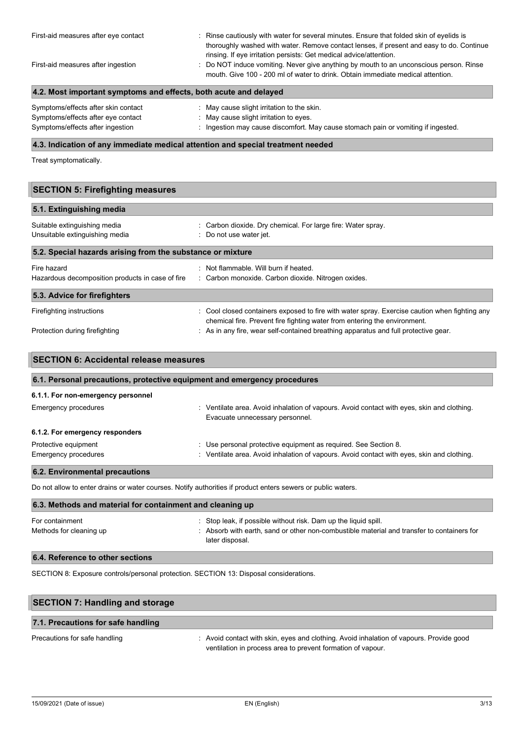| First-aid measures after eye contact<br>First-aid measures after ingestion | : Rinse cautiously with water for several minutes. Ensure that folded skin of eyelids is<br>thoroughly washed with water. Remove contact lenses, if present and easy to do. Continue<br>rinsing. If eye irritation persists: Get medical advice/attention.<br>: Do NOT induce vomiting. Never give anything by mouth to an unconscious person. Rinse<br>mouth. Give 100 - 200 ml of water to drink. Obtain immediate medical attention. |  |
|----------------------------------------------------------------------------|-----------------------------------------------------------------------------------------------------------------------------------------------------------------------------------------------------------------------------------------------------------------------------------------------------------------------------------------------------------------------------------------------------------------------------------------|--|
| 4.2. Most important symptoms and effects, both acute and delayed           |                                                                                                                                                                                                                                                                                                                                                                                                                                         |  |
| Symptoms/effects after skin contact                                        | : May cause slight irritation to the skin.                                                                                                                                                                                                                                                                                                                                                                                              |  |

| Officing chects and shill contact<br>$\sim$ ividy cause slight intraduct to the skin.<br>Symptoms/effects after eye contact<br>$\therefore$ May cause slight irritation to eyes. |  |
|----------------------------------------------------------------------------------------------------------------------------------------------------------------------------------|--|

# **4.3. Indication of any immediate medical attention and special treatment needed**

Treat symptomatically.

# **SECTION 5: Firefighting measures**

| 5.1. Extinguishing media                                        |                                                                                                                                                                            |
|-----------------------------------------------------------------|----------------------------------------------------------------------------------------------------------------------------------------------------------------------------|
| Suitable extinguishing media<br>Unsuitable extinguishing media  | : Carbon dioxide. Dry chemical. For large fire: Water spray.<br>: Do not use water jet.                                                                                    |
| 5.2. Special hazards arising from the substance or mixture      |                                                                                                                                                                            |
| Fire hazard<br>Hazardous decomposition products in case of fire | : Not flammable. Will burn if heated.<br>: Carbon monoxide. Carbon dioxide. Nitrogen oxides.                                                                               |
| 5.3. Advice for firefighters                                    |                                                                                                                                                                            |
| Firefighting instructions                                       | : Cool closed containers exposed to fire with water spray. Exercise caution when fighting any<br>chemical fire. Prevent fire fighting water from entering the environment. |
| Protection during firefighting                                  | : As in any fire, wear self-contained breathing apparatus and full protective gear.                                                                                        |

| 6.1. Personal precautions, protective equipment and emergency procedures |                                                                                                                               |  |
|--------------------------------------------------------------------------|-------------------------------------------------------------------------------------------------------------------------------|--|
| 6.1.1. For non-emergency personnel                                       |                                                                                                                               |  |
| Emergency procedures                                                     | : Ventilate area. Avoid inhalation of vapours. Avoid contact with eyes, skin and clothing.<br>Evacuate unnecessary personnel. |  |
| 6.1.2. For emergency responders                                          |                                                                                                                               |  |
| Protective equipment                                                     | : Use personal protective equipment as required. See Section 8.                                                               |  |
| Emergency procedures                                                     | : Ventilate area. Avoid inhalation of vapours. Avoid contact with eyes, skin and clothing.                                    |  |

Do not allow to enter drains or water courses. Notify authorities if product enters sewers or public waters.

| 6.3. Methods and material for containment and cleaning up |                                                                                                                                                                                  |  |
|-----------------------------------------------------------|----------------------------------------------------------------------------------------------------------------------------------------------------------------------------------|--|
| For containment<br>Methods for cleaning up                | : Stop leak, if possible without risk. Dam up the liquid spill.<br>: Absorb with earth, sand or other non-combustible material and transfer to containers for<br>later disposal. |  |
|                                                           |                                                                                                                                                                                  |  |

# **6.4. Reference to other sections**

SECTION 8: Exposure controls/personal protection. SECTION 13: Disposal considerations.

| <b>SECTION 7: Handling and storage</b> |                                                                                                                                                        |
|----------------------------------------|--------------------------------------------------------------------------------------------------------------------------------------------------------|
| 7.1. Precautions for safe handling     |                                                                                                                                                        |
| Precautions for safe handling          | : Avoid contact with skin, eyes and clothing. Avoid inhalation of vapours. Provide good<br>ventilation in process area to prevent formation of vapour. |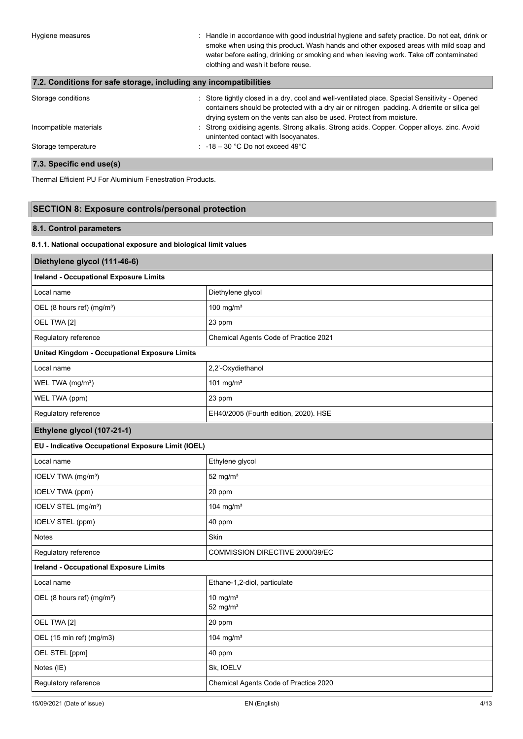Hygiene measures **interpretatal in accordance with good industrial hygiene and safety practice. Do not eat, drink or** smoke when using this product. Wash hands and other exposed areas with mild soap and water before eating, drinking or smoking and when leaving work. Take off contaminated clothing and wash it before reuse.

# **7.2. Conditions for safe storage, including any incompatibilities**

| Storage conditions     | : Store tightly closed in a dry, cool and well-ventilated place. Special Sensitivity - Opened<br>containers should be protected with a dry air or nitrogen padding. A drierrite or silica gel<br>drying system on the vents can also be used. Protect from moisture. |
|------------------------|----------------------------------------------------------------------------------------------------------------------------------------------------------------------------------------------------------------------------------------------------------------------|
| Incompatible materials | : Strong oxidising agents. Strong alkalis. Strong acids. Copper. Copper alloys. zinc. Avoid<br>unintented contact with Isocyanates.                                                                                                                                  |
| Storage temperature    | $\therefore$ -18 – 30 °C Do not exceed 49°C                                                                                                                                                                                                                          |

# **7.3. Specific end use(s)**

Thermal Efficient PU For Aluminium Fenestration Products.

# **SECTION 8: Exposure controls/personal protection**

### **8.1. Control parameters**

### **8.1.1. National occupational exposure and biological limit values**

| Diethylene glycol (111-46-6)                         |                                       |  |
|------------------------------------------------------|---------------------------------------|--|
| <b>Ireland - Occupational Exposure Limits</b>        |                                       |  |
| Local name                                           | Diethylene glycol                     |  |
| OEL (8 hours ref) (mg/m <sup>3</sup> )               | 100 mg/m $3$                          |  |
| OEL TWA [2]                                          | 23 ppm                                |  |
| Regulatory reference                                 | Chemical Agents Code of Practice 2021 |  |
| <b>United Kingdom - Occupational Exposure Limits</b> |                                       |  |
| Local name                                           | 2,2'-Oxydiethanol                     |  |
| WEL TWA (mg/m <sup>3</sup> )                         | 101 mg/m $3$                          |  |
| WEL TWA (ppm)                                        | 23 ppm                                |  |
| Regulatory reference                                 | EH40/2005 (Fourth edition, 2020). HSE |  |
| Ethylene glycol (107-21-1)                           |                                       |  |
| EU - Indicative Occupational Exposure Limit (IOEL)   |                                       |  |
| Local name                                           | Ethylene glycol                       |  |
| IOELV TWA (mg/m <sup>3</sup> )                       | 52 mg/ $m3$                           |  |
| IOELV TWA (ppm)                                      | 20 ppm                                |  |
| IOELV STEL (mg/m <sup>3</sup> )                      | 104 mg/m <sup>3</sup>                 |  |
| IOELV STEL (ppm)                                     | 40 ppm                                |  |
| <b>Notes</b>                                         | Skin                                  |  |
| Regulatory reference                                 | COMMISSION DIRECTIVE 2000/39/EC       |  |
| <b>Ireland - Occupational Exposure Limits</b>        |                                       |  |
| Local name                                           | Ethane-1,2-diol, particulate          |  |
| OEL (8 hours ref) (mg/m <sup>3</sup> )               | $10 \text{ mg/m}^3$<br>52 mg/ $m3$    |  |
| OEL TWA [2]                                          | 20 ppm                                |  |
| OEL (15 min ref) (mg/m3)                             | 104 mg/m $3$                          |  |
| OEL STEL [ppm]                                       | 40 ppm                                |  |
| Notes (IE)                                           | Sk, IOELV                             |  |
| Regulatory reference                                 | Chemical Agents Code of Practice 2020 |  |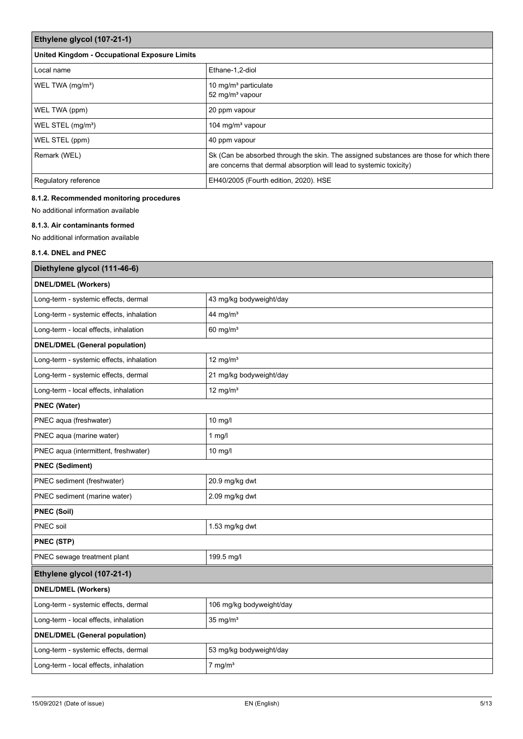| Ethylene glycol (107-21-1)                           |                                                                                                                                                                |  |
|------------------------------------------------------|----------------------------------------------------------------------------------------------------------------------------------------------------------------|--|
| <b>United Kingdom - Occupational Exposure Limits</b> |                                                                                                                                                                |  |
| Local name                                           | Ethane-1.2-diol                                                                                                                                                |  |
| WEL TWA (mg/m <sup>3</sup> )                         | 10 mg/m <sup>3</sup> particulate<br>52 mg/m <sup>3</sup> vapour                                                                                                |  |
| WEL TWA (ppm)                                        | 20 ppm vapour                                                                                                                                                  |  |
| WEL STEL (mg/m <sup>3</sup> )                        | 104 mg/m <sup>3</sup> vapour                                                                                                                                   |  |
| WEL STEL (ppm)                                       | 40 ppm vapour                                                                                                                                                  |  |
| Remark (WEL)                                         | Sk (Can be absorbed through the skin. The assigned substances are those for which there<br>are concerns that dermal absorption will lead to systemic toxicity) |  |
| Regulatory reference                                 | EH40/2005 (Fourth edition, 2020). HSE                                                                                                                          |  |

# **8.1.2. Recommended monitoring procedures**

No additional information available

# **8.1.3. Air contaminants formed**

No additional information available

# **8.1.4. DNEL and PNEC**

| Diethylene glycol (111-46-6)             |                          |  |
|------------------------------------------|--------------------------|--|
| <b>DNEL/DMEL (Workers)</b>               |                          |  |
| Long-term - systemic effects, dermal     | 43 mg/kg bodyweight/day  |  |
| Long-term - systemic effects, inhalation | 44 mg/ $m3$              |  |
| Long-term - local effects, inhalation    | $60$ mg/m <sup>3</sup>   |  |
| <b>DNEL/DMEL (General population)</b>    |                          |  |
| Long-term - systemic effects, inhalation | 12 mg/ $m3$              |  |
| Long-term - systemic effects, dermal     | 21 mg/kg bodyweight/day  |  |
| Long-term - local effects, inhalation    | 12 mg/ $m3$              |  |
| <b>PNEC (Water)</b>                      |                          |  |
| PNEC aqua (freshwater)                   | $10$ mg/l                |  |
| PNEC aqua (marine water)                 | $1$ mg/l                 |  |
| PNEC aqua (intermittent, freshwater)     | $10$ mg/l                |  |
| <b>PNEC (Sediment)</b>                   |                          |  |
| PNEC sediment (freshwater)               | 20.9 mg/kg dwt           |  |
| PNEC sediment (marine water)             | 2.09 mg/kg dwt           |  |
| <b>PNEC (Soil)</b>                       |                          |  |
| PNEC soil                                | 1.53 mg/kg dwt           |  |
| <b>PNEC (STP)</b>                        |                          |  |
| PNEC sewage treatment plant              | 199.5 mg/l               |  |
| Ethylene glycol (107-21-1)               |                          |  |
| <b>DNEL/DMEL (Workers)</b>               |                          |  |
| Long-term - systemic effects, dermal     | 106 mg/kg bodyweight/day |  |
| Long-term - local effects, inhalation    | $35$ mg/m <sup>3</sup>   |  |
| <b>DNEL/DMEL (General population)</b>    |                          |  |
| Long-term - systemic effects, dermal     | 53 mg/kg bodyweight/day  |  |
| Long-term - local effects, inhalation    | $7$ mg/m <sup>3</sup>    |  |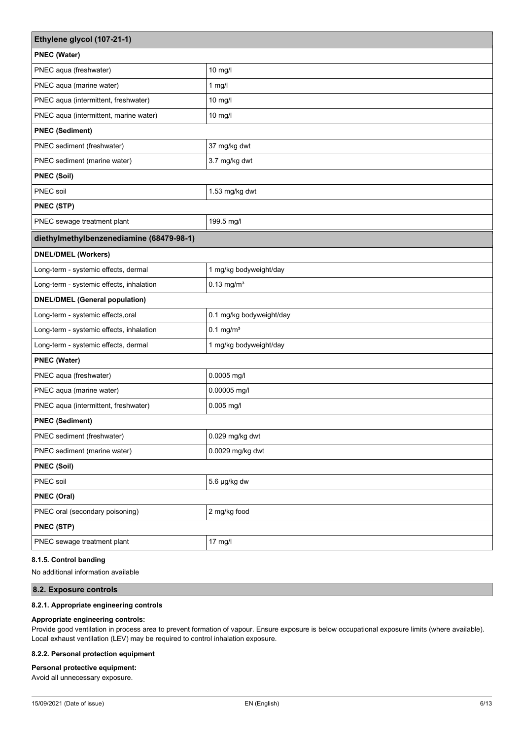| Ethylene glycol (107-21-1)               |                          |  |
|------------------------------------------|--------------------------|--|
| <b>PNEC (Water)</b>                      |                          |  |
| PNEC aqua (freshwater)                   | 10 mg/l                  |  |
| PNEC aqua (marine water)                 | $1$ mg/l                 |  |
| PNEC aqua (intermittent, freshwater)     | 10 mg/l                  |  |
| PNEC aqua (intermittent, marine water)   | 10 mg/l                  |  |
| <b>PNEC (Sediment)</b>                   |                          |  |
| PNEC sediment (freshwater)               | 37 mg/kg dwt             |  |
| PNEC sediment (marine water)             | 3.7 mg/kg dwt            |  |
| <b>PNEC (Soil)</b>                       |                          |  |
| PNEC soil                                | 1.53 mg/kg dwt           |  |
| PNEC (STP)                               |                          |  |
| PNEC sewage treatment plant              | 199.5 mg/l               |  |
| diethylmethylbenzenediamine (68479-98-1) |                          |  |
| <b>DNEL/DMEL (Workers)</b>               |                          |  |
| Long-term - systemic effects, dermal     | 1 mg/kg bodyweight/day   |  |
| Long-term - systemic effects, inhalation | $0.13$ mg/m <sup>3</sup> |  |
| <b>DNEL/DMEL (General population)</b>    |                          |  |
| Long-term - systemic effects, oral       | 0.1 mg/kg bodyweight/day |  |
| Long-term - systemic effects, inhalation | $0.1$ mg/m <sup>3</sup>  |  |
| Long-term - systemic effects, dermal     | 1 mg/kg bodyweight/day   |  |
| <b>PNEC (Water)</b>                      |                          |  |
| PNEC aqua (freshwater)                   | 0.0005 mg/l              |  |
| PNEC aqua (marine water)                 | 0.00005 mg/l             |  |
| PNEC aqua (intermittent, freshwater)     | 0.005 mg/l               |  |
| <b>PNEC (Sediment)</b>                   |                          |  |
| PNEC sediment (freshwater)               | 0.029 mg/kg dwt          |  |
| PNEC sediment (marine water)             | 0.0029 mg/kg dwt         |  |
| <b>PNEC (Soil)</b>                       |                          |  |
| PNEC soil                                | 5.6 µg/kg dw             |  |
| PNEC (Oral)                              |                          |  |
| PNEC oral (secondary poisoning)          | 2 mg/kg food             |  |
| PNEC (STP)                               |                          |  |
| PNEC sewage treatment plant              | $17 \text{ mg/l}$        |  |

### **8.1.5. Control banding**

No additional information available

# **8.2. Exposure controls**

### **8.2.1. Appropriate engineering controls**

### **Appropriate engineering controls:**

Provide good ventilation in process area to prevent formation of vapour. Ensure exposure is below occupational exposure limits (where available). Local exhaust ventilation (LEV) may be required to control inhalation exposure.

### **8.2.2. Personal protection equipment**

### **Personal protective equipment:**

Avoid all unnecessary exposure.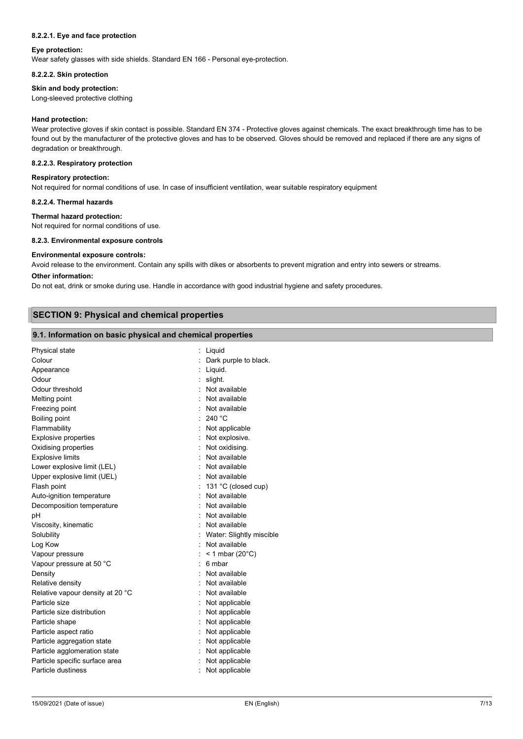#### **8.2.2.1. Eye and face protection**

#### **Eye protection:**

Wear safety glasses with side shields. Standard EN 166 - Personal eye-protection.

#### **8.2.2.2. Skin protection**

# **Skin and body protection:**

Long-sleeved protective clothing

#### **Hand protection:**

Wear protective gloves if skin contact is possible. Standard EN 374 - Protective gloves against chemicals. The exact breakthrough time has to be found out by the manufacturer of the protective gloves and has to be observed. Gloves should be removed and replaced if there are any signs of degradation or breakthrough.

#### **8.2.2.3. Respiratory protection**

#### **Respiratory protection:**

Not required for normal conditions of use. In case of insufficient ventilation, wear suitable respiratory equipment

#### **8.2.2.4. Thermal hazards**

#### **Thermal hazard protection:**

Not required for normal conditions of use.

#### **8.2.3. Environmental exposure controls**

#### **Environmental exposure controls:**

Avoid release to the environment. Contain any spills with dikes or absorbents to prevent migration and entry into sewers or streams.

#### **Other information:**

Do not eat, drink or smoke during use. Handle in accordance with good industrial hygiene and safety procedures.

### **SECTION 9: Physical and chemical properties**

#### **9.1. Information on basic physical and chemical properties**

| Physical state                   |                          | Liquid                       |
|----------------------------------|--------------------------|------------------------------|
| Colour                           |                          | Dark purple to black.        |
| Appearance                       |                          | Liquid.                      |
| Odour                            |                          | slight.                      |
| Odour threshold                  |                          | Not available                |
| Melting point                    |                          | Not available                |
| Freezing point                   |                          | Not available                |
| Boiling point                    |                          | 240 °C                       |
| Flammability                     |                          | Not applicable               |
| <b>Explosive properties</b>      |                          | Not explosive.               |
| Oxidising properties             |                          | Not oxidising.               |
| <b>Explosive limits</b>          |                          | Not available                |
| Lower explosive limit (LEL)      |                          | Not available                |
| Upper explosive limit (UEL)      |                          | Not available                |
| Flash point                      |                          | 131 °C (closed cup)          |
| Auto-ignition temperature        |                          | Not available                |
| Decomposition temperature        |                          | Not available                |
| pH                               |                          | Not available                |
| Viscosity, kinematic             |                          | Not available                |
| Solubility                       |                          | : Water: Slightly miscible   |
| Log Kow                          | $\overline{\phantom{a}}$ | Not available                |
| Vapour pressure                  |                          | $<$ 1 mbar (20 $^{\circ}$ C) |
| Vapour pressure at 50 °C         |                          | 6 mbar                       |
| Density                          |                          | Not available                |
| Relative density                 |                          | Not available                |
| Relative vapour density at 20 °C |                          | Not available                |
| Particle size                    |                          | Not applicable               |
| Particle size distribution       |                          | Not applicable               |
| Particle shape                   |                          | Not applicable               |
| Particle aspect ratio            |                          | Not applicable               |
| Particle aggregation state       |                          | Not applicable               |
| Particle agglomeration state     |                          | Not applicable               |
| Particle specific surface area   |                          | Not applicable               |
| Particle dustiness               |                          | Not applicable               |
|                                  |                          |                              |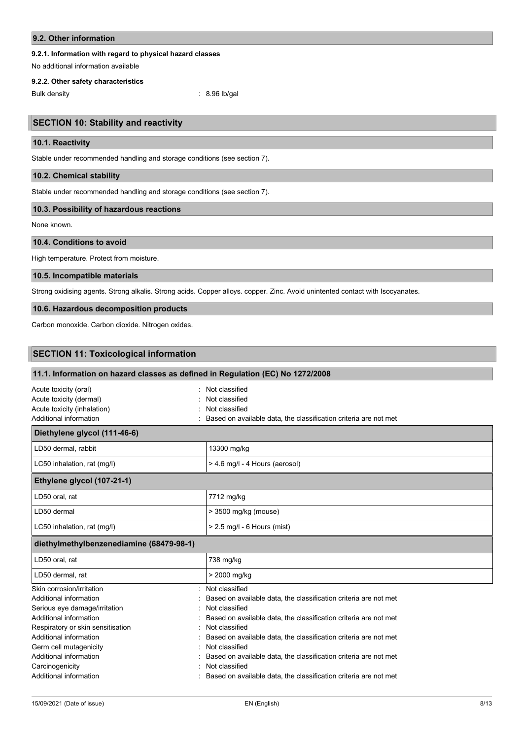### **9.2. Other information**

### **9.2.1. Information with regard to physical hazard classes**

No additional information available

#### **9.2.2. Other safety characteristics**

Bulk density : 8.96 lb/gal

# **SECTION 10: Stability and reactivity**

### **10.1. Reactivity**

Stable under recommended handling and storage conditions (see section 7).

### **10.2. Chemical stability**

Stable under recommended handling and storage conditions (see section 7).

#### **10.3. Possibility of hazardous reactions**

None known.

### **10.4. Conditions to avoid**

High temperature. Protect from moisture.

# **10.5. Incompatible materials**

Strong oxidising agents. Strong alkalis. Strong acids. Copper alloys. copper. Zinc. Avoid unintented contact with Isocyanates.

# **10.6. Hazardous decomposition products**

Carbon monoxide. Carbon dioxide. Nitrogen oxides.

# **SECTION 11: Toxicological information**

| 11.1. Information on hazard classes as defined in Regulation (EC) No 1272/2008                                                                                                                                                                                                                                                                                                                                                             |
|--------------------------------------------------------------------------------------------------------------------------------------------------------------------------------------------------------------------------------------------------------------------------------------------------------------------------------------------------------------------------------------------------------------------------------------------|
| Not classified<br>Not classified<br>Not classified<br>Based on available data, the classification criteria are not met                                                                                                                                                                                                                                                                                                                     |
|                                                                                                                                                                                                                                                                                                                                                                                                                                            |
| 13300 mg/kg                                                                                                                                                                                                                                                                                                                                                                                                                                |
| > 4.6 mg/l - 4 Hours (aerosol)                                                                                                                                                                                                                                                                                                                                                                                                             |
|                                                                                                                                                                                                                                                                                                                                                                                                                                            |
| 7712 mg/kg                                                                                                                                                                                                                                                                                                                                                                                                                                 |
| > 3500 mg/kg (mouse)                                                                                                                                                                                                                                                                                                                                                                                                                       |
| $> 2.5$ mg/l - 6 Hours (mist)                                                                                                                                                                                                                                                                                                                                                                                                              |
|                                                                                                                                                                                                                                                                                                                                                                                                                                            |
| 738 mg/kg                                                                                                                                                                                                                                                                                                                                                                                                                                  |
| > 2000 mg/kg                                                                                                                                                                                                                                                                                                                                                                                                                               |
| Not classified<br>Based on available data, the classification criteria are not met<br>Not classified<br>Based on available data, the classification criteria are not met<br>Not classified<br>Based on available data, the classification criteria are not met<br>Not classified<br>Based on available data, the classification criteria are not met<br>Not classified<br>Based on available data, the classification criteria are not met |
|                                                                                                                                                                                                                                                                                                                                                                                                                                            |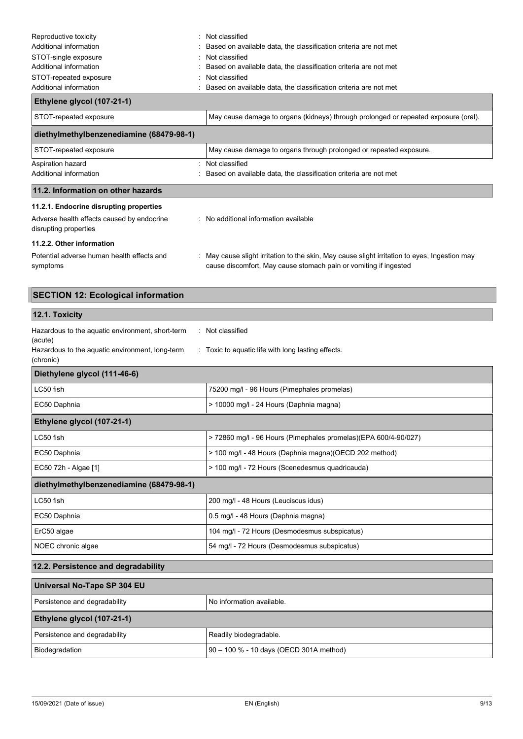| Reproductive toxicity                                               | : Not classified                                                                                                                                                  |
|---------------------------------------------------------------------|-------------------------------------------------------------------------------------------------------------------------------------------------------------------|
| Additional information                                              | Based on available data, the classification criteria are not met                                                                                                  |
| STOT-single exposure                                                | Not classified                                                                                                                                                    |
| Additional information                                              | Based on available data, the classification criteria are not met                                                                                                  |
| STOT-repeated exposure                                              | Not classified                                                                                                                                                    |
| Additional information                                              | Based on available data, the classification criteria are not met                                                                                                  |
| Ethylene glycol (107-21-1)                                          |                                                                                                                                                                   |
| STOT-repeated exposure                                              | May cause damage to organs (kidneys) through prolonged or repeated exposure (oral).                                                                               |
| diethylmethylbenzenediamine (68479-98-1)                            |                                                                                                                                                                   |
| STOT-repeated exposure                                              | May cause damage to organs through prolonged or repeated exposure.                                                                                                |
| Aspiration hazard                                                   | Not classified                                                                                                                                                    |
| Additional information                                              | Based on available data, the classification criteria are not met                                                                                                  |
| 11.2. Information on other hazards                                  |                                                                                                                                                                   |
| 11.2.1. Endocrine disrupting properties                             |                                                                                                                                                                   |
| Adverse health effects caused by endocrine<br>disrupting properties | : No additional information available                                                                                                                             |
| 11.2.2. Other information                                           |                                                                                                                                                                   |
| Potential adverse human health effects and<br>symptoms              | : May cause slight irritation to the skin, May cause slight irritation to eyes, Ingestion may<br>cause discomfort, May cause stomach pain or vomiting if ingested |

| <b>SECTION 12: Ecological information</b>                                                                                                                                                             |                                                                 |  |
|-------------------------------------------------------------------------------------------------------------------------------------------------------------------------------------------------------|-----------------------------------------------------------------|--|
| 12.1. Toxicity                                                                                                                                                                                        |                                                                 |  |
| Hazardous to the aquatic environment, short-term<br>: Not classified<br>(acute)<br>Hazardous to the aquatic environment, long-term<br>: Toxic to aquatic life with long lasting effects.<br>(chronic) |                                                                 |  |
| Diethylene glycol (111-46-6)                                                                                                                                                                          |                                                                 |  |
| LC50 fish                                                                                                                                                                                             | 75200 mg/l - 96 Hours (Pimephales promelas)                     |  |
| EC50 Daphnia                                                                                                                                                                                          | > 10000 mg/l - 24 Hours (Daphnia magna)                         |  |
| Ethylene glycol (107-21-1)                                                                                                                                                                            |                                                                 |  |
| LC50 fish                                                                                                                                                                                             | > 72860 mg/l - 96 Hours (Pimephales promelas)(EPA 600/4-90/027) |  |
| EC50 Daphnia                                                                                                                                                                                          | > 100 mg/l - 48 Hours (Daphnia magna)(OECD 202 method)          |  |
| EC50 72h - Algae [1]                                                                                                                                                                                  | > 100 mg/l - 72 Hours (Scenedesmus quadricauda)                 |  |
| diethylmethylbenzenediamine (68479-98-1)                                                                                                                                                              |                                                                 |  |
| LC50 fish                                                                                                                                                                                             | 200 mg/l - 48 Hours (Leuciscus idus)                            |  |
| EC50 Daphnia                                                                                                                                                                                          | 0.5 mg/l - 48 Hours (Daphnia magna)                             |  |
| ErC50 algae                                                                                                                                                                                           | 104 mg/l - 72 Hours (Desmodesmus subspicatus)                   |  |
| NOEC chronic algae                                                                                                                                                                                    | 54 mg/l - 72 Hours (Desmodesmus subspicatus)                    |  |
| 12.2. Persistence and degradability                                                                                                                                                                   |                                                                 |  |
| <b>Universal No-Tape SP 304 EU</b>                                                                                                                                                                    |                                                                 |  |

| Universal No-Tape SP 304 EU   |                                         |  |
|-------------------------------|-----------------------------------------|--|
| Persistence and degradability | No information available.               |  |
| Ethylene glycol (107-21-1)    |                                         |  |
| Persistence and degradability | Readily biodegradable.                  |  |
| Biodegradation                | 90 - 100 % - 10 days (OECD 301A method) |  |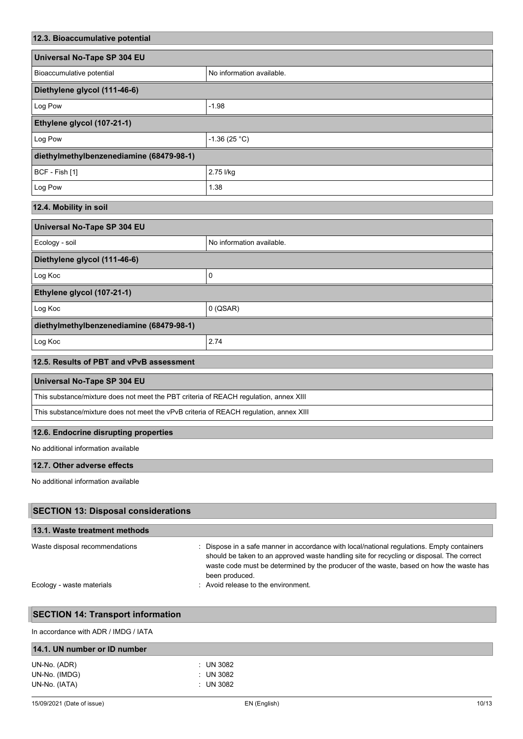| 12.3. Bioaccumulative potential                                                        |                                                                                                                                                                                                                                                                                                   |  |
|----------------------------------------------------------------------------------------|---------------------------------------------------------------------------------------------------------------------------------------------------------------------------------------------------------------------------------------------------------------------------------------------------|--|
| Universal No-Tape SP 304 EU                                                            |                                                                                                                                                                                                                                                                                                   |  |
| Bioaccumulative potential                                                              | No information available.                                                                                                                                                                                                                                                                         |  |
| Diethylene glycol (111-46-6)                                                           |                                                                                                                                                                                                                                                                                                   |  |
| Log Pow                                                                                | $-1.98$                                                                                                                                                                                                                                                                                           |  |
| Ethylene glycol (107-21-1)                                                             |                                                                                                                                                                                                                                                                                                   |  |
| Log Pow                                                                                | $-1.36(25 °C)$                                                                                                                                                                                                                                                                                    |  |
| diethylmethylbenzenediamine (68479-98-1)                                               |                                                                                                                                                                                                                                                                                                   |  |
| BCF - Fish [1]                                                                         | 2.75 l/kg                                                                                                                                                                                                                                                                                         |  |
| Log Pow                                                                                | 1.38                                                                                                                                                                                                                                                                                              |  |
| 12.4. Mobility in soil                                                                 |                                                                                                                                                                                                                                                                                                   |  |
| Universal No-Tape SP 304 EU                                                            |                                                                                                                                                                                                                                                                                                   |  |
| Ecology - soil                                                                         | No information available.                                                                                                                                                                                                                                                                         |  |
| Diethylene glycol (111-46-6)                                                           |                                                                                                                                                                                                                                                                                                   |  |
| Log Koc                                                                                | 0                                                                                                                                                                                                                                                                                                 |  |
| Ethylene glycol (107-21-1)                                                             |                                                                                                                                                                                                                                                                                                   |  |
| Log Koc                                                                                | $0$ (QSAR)                                                                                                                                                                                                                                                                                        |  |
| diethylmethylbenzenediamine (68479-98-1)                                               |                                                                                                                                                                                                                                                                                                   |  |
| Log Koc                                                                                | 2.74                                                                                                                                                                                                                                                                                              |  |
| 12.5. Results of PBT and vPvB assessment                                               |                                                                                                                                                                                                                                                                                                   |  |
| Universal No-Tape SP 304 EU                                                            |                                                                                                                                                                                                                                                                                                   |  |
| This substance/mixture does not meet the PBT criteria of REACH regulation, annex XIII  |                                                                                                                                                                                                                                                                                                   |  |
| This substance/mixture does not meet the vPvB criteria of REACH regulation, annex XIII |                                                                                                                                                                                                                                                                                                   |  |
| 12.6. Endocrine disrupting properties                                                  |                                                                                                                                                                                                                                                                                                   |  |
| No additional information available                                                    |                                                                                                                                                                                                                                                                                                   |  |
| 12.7. Other adverse effects                                                            |                                                                                                                                                                                                                                                                                                   |  |
| No additional information available                                                    |                                                                                                                                                                                                                                                                                                   |  |
| <b>SECTION 13: Disposal considerations</b>                                             |                                                                                                                                                                                                                                                                                                   |  |
| 13.1. Waste treatment methods                                                          |                                                                                                                                                                                                                                                                                                   |  |
| Waste disposal recommendations                                                         | Dispose in a safe manner in accordance with local/national regulations. Empty containers<br>should be taken to an approved waste handling site for recycling or disposal. The correct<br>waste code must be determined by the producer of the waste, based on how the waste has<br>been produced. |  |
| Ecology - waste materials                                                              | Avoid release to the environment.                                                                                                                                                                                                                                                                 |  |
| <b>SECTION 14: Transport information</b>                                               |                                                                                                                                                                                                                                                                                                   |  |
| In accordance with ADR / IMDG / IATA                                                   |                                                                                                                                                                                                                                                                                                   |  |
| 14.1. UN number or ID number                                                           |                                                                                                                                                                                                                                                                                                   |  |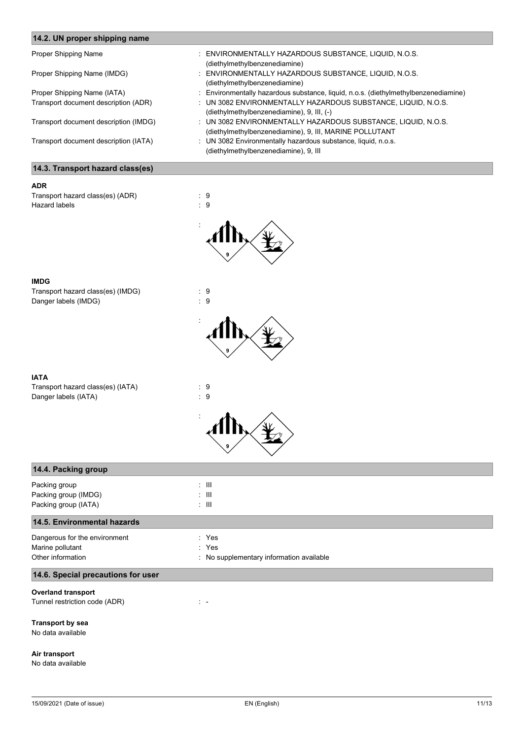| 14.2. UN proper shipping name         |                                                                                                                          |
|---------------------------------------|--------------------------------------------------------------------------------------------------------------------------|
| Proper Shipping Name                  | : ENVIRONMENTALLY HAZARDOUS SUBSTANCE, LIQUID, N.O.S.<br>(diethylmethylbenzenediamine)                                   |
| Proper Shipping Name (IMDG)           | ENVIRONMENTALLY HAZARDOUS SUBSTANCE, LIQUID, N.O.S.<br>(diethylmethylbenzenediamine)                                     |
| Proper Shipping Name (IATA)           | Environmentally hazardous substance, liquid, n.o.s. (diethylmethylbenzenediamine)                                        |
| Transport document description (ADR)  | : UN 3082 ENVIRONMENTALLY HAZARDOUS SUBSTANCE, LIQUID, N.O.S.<br>(diethylmethylbenzenediamine), 9, III, (-)              |
| Transport document description (IMDG) | : UN 3082 ENVIRONMENTALLY HAZARDOUS SUBSTANCE, LIQUID, N.O.S.<br>(diethylmethylbenzenediamine), 9, III, MARINE POLLUTANT |
| Transport document description (IATA) | : UN 3082 Environmentally hazardous substance, liquid, n.o.s.<br>(diethylmethylbenzenediamine), 9, III                   |
| 14.3. Transport hazard class(es)      |                                                                                                                          |

| <b>ADR</b>                       |        |
|----------------------------------|--------|
| Transport hazard class(es) (ADR) | : 9    |
| Hazard labels                    | : 9    |
|                                  | t<br>9 |

#### **IMDG**

Transport hazard class(es) (IMDG) : 9<br>Danger labels (IMDG) : 9 Danger labels (IMDG)



# **IATA**

| IAIA<br>Transport hazard class(es) (IATA)<br>Danger labels (IATA) | $\therefore$ 9<br>:9                     |
|-------------------------------------------------------------------|------------------------------------------|
|                                                                   |                                          |
| 14.4. Packing group                                               |                                          |
| Packing group                                                     | $\pm$ 111                                |
| Packing group (IMDG)                                              | $\pm$ 111                                |
| Packing group (IATA)                                              | $\pm$ 111                                |
| 14.5. Environmental hazards                                       |                                          |
| Dangerous for the environment                                     | : Yes                                    |
| Marine pollutant                                                  | : Yes                                    |
| Other information                                                 | : No supplementary information available |
| 14.6. Special precautions for user                                |                                          |

# **Overland transport**

Tunnel restriction code (ADR) : -

### **Transport by sea**

No data available

### **Air transport**

No data available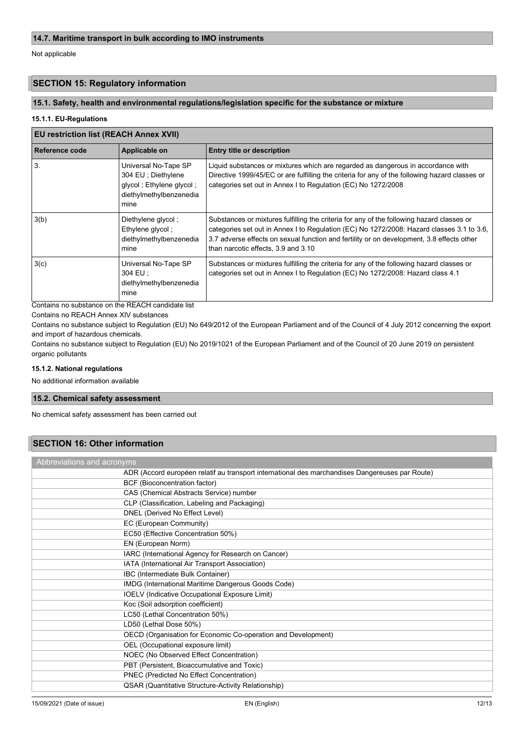Not applicable

# **SECTION 15: Regulatory information**

# **15.1. Safety, health and environmental regulations/legislation specific for the substance or mixture**

### **15.1.1. EU-Regulations**

### **EU restriction list (REACH Annex XVII)**

| Reference code | Applicable on                                                                                               | <b>Entry title or description</b>                                                                                                                                                                                                                                                                                          |
|----------------|-------------------------------------------------------------------------------------------------------------|----------------------------------------------------------------------------------------------------------------------------------------------------------------------------------------------------------------------------------------------------------------------------------------------------------------------------|
| 3.             | Universal No-Tape SP<br>304 EU; Diethylene<br>glycol ; Ethylene glycol ;<br>diethylmethylbenzenedia<br>mine | Liquid substances or mixtures which are regarded as dangerous in accordance with<br>Directive 1999/45/EC or are fulfilling the criteria for any of the following hazard classes or<br>categories set out in Annex I to Regulation (EC) No 1272/2008                                                                        |
| 3(b)           | Diethylene glycol;<br>Ethylene glycol;<br>diethylmethylbenzenedia<br>mine                                   | Substances or mixtures fulfilling the criteria for any of the following hazard classes or<br>categories set out in Annex I to Regulation (EC) No 1272/2008: Hazard classes 3.1 to 3.6,<br>3.7 adverse effects on sexual function and fertility or on development, 3.8 effects other<br>than narcotic effects, 3.9 and 3.10 |
| 3(c)           | Universal No-Tape SP<br>304 EU :<br>diethylmethylbenzenedia<br>mine                                         | Substances or mixtures fulfilling the criteria for any of the following hazard classes or<br>categories set out in Annex I to Regulation (EC) No 1272/2008: Hazard class 4.1                                                                                                                                               |

Contains no substance on the REACH candidate list

Contains no REACH Annex XIV substances

Contains no substance subject to Regulation (EU) No 649/2012 of the European Parliament and of the Council of 4 July 2012 concerning the export and import of hazardous chemicals.

Contains no substance subject to Regulation (EU) No 2019/1021 of the European Parliament and of the Council of 20 June 2019 on persistent organic pollutants

#### **15.1.2. National regulations**

No additional information available

# **15.2. Chemical safety assessment**

No chemical safety assessment has been carried out

# **SECTION 16: Other information**

| Abbreviations and acronyms                                                                      |  |  |
|-------------------------------------------------------------------------------------------------|--|--|
| ADR (Accord européen relatif au transport international des marchandises Dangereuses par Route) |  |  |
| BCF (Bioconcentration factor)                                                                   |  |  |
| CAS (Chemical Abstracts Service) number                                                         |  |  |
| CLP (Classification, Labeling and Packaging)                                                    |  |  |
| DNEL (Derived No Effect Level)                                                                  |  |  |
| EC (European Community)                                                                         |  |  |
| EC50 (Effective Concentration 50%)                                                              |  |  |
| EN (European Norm)                                                                              |  |  |
| IARC (International Agency for Research on Cancer)                                              |  |  |
| IATA (International Air Transport Association)                                                  |  |  |
| IBC (Intermediate Bulk Container)                                                               |  |  |
| IMDG (International Maritime Dangerous Goods Code)                                              |  |  |
| <b>IOELV</b> (Indicative Occupational Exposure Limit)                                           |  |  |
| Koc (Soil adsorption coefficient)                                                               |  |  |
| LC50 (Lethal Concentration 50%)                                                                 |  |  |
| LD50 (Lethal Dose 50%)                                                                          |  |  |
| OECD (Organisation for Economic Co-operation and Development)                                   |  |  |
| OEL (Occupational exposure limit)                                                               |  |  |
| NOEC (No Observed Effect Concentration)                                                         |  |  |
| PBT (Persistent, Bioaccumulative and Toxic)                                                     |  |  |
| PNEC (Predicted No Effect Concentration)                                                        |  |  |
| <b>QSAR (Quantitative Structure-Activity Relationship)</b>                                      |  |  |